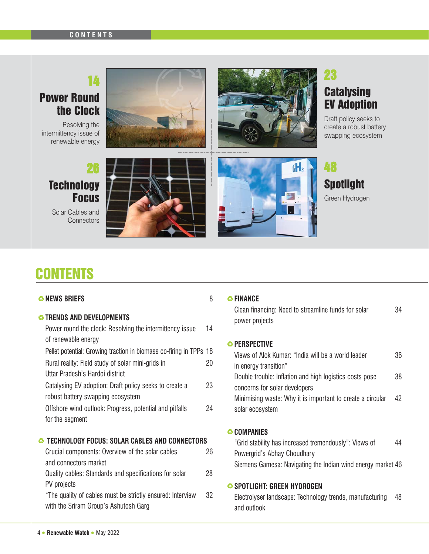#### **CONTENTS**

## Power Round the Clock

Resolving the intermittency issue of renewable energy





### 23 **Catalysing** EV Adoption

Draft policy seeks to create a robust battery swapping ecosystem

### 26 **Technology Focus**

Solar Cables and **Connectors** 





#### 48 **Spotlight** Green Hydrogen

## **CONTENTS**

| <b>&amp; NEWS BRIEFS</b><br><b><sup>3</sup> TRENDS AND DEVELOPMENTS</b><br>Power round the clock: Resolving the intermittency issue                                                              | 8<br>14  | ↔ FINANCE<br>Clean financing: Need to streamline funds for solar<br>power projects                                                                  | 34 |
|--------------------------------------------------------------------------------------------------------------------------------------------------------------------------------------------------|----------|-----------------------------------------------------------------------------------------------------------------------------------------------------|----|
| of renewable energy<br>Pellet potential: Growing traction in biomass co-firing in TPPs 18<br>Rural reality: Field study of solar mini-grids in                                                   | 20       | <b><sup>3</sup></b> PERSPECTIVE<br>Views of Alok Kumar: "India will be a world leader<br>in energy transition"                                      | 36 |
| Uttar Pradesh's Hardoi district<br>Catalysing EV adoption: Draft policy seeks to create a                                                                                                        | 23       | Double trouble: Inflation and high logistics costs pose<br>concerns for solar developers                                                            | 38 |
| robust battery swapping ecosystem<br>Offshore wind outlook: Progress, potential and pitfalls<br>for the segment                                                                                  | 24       | Minimising waste: Why it is important to create a circular<br>solar ecosystem                                                                       | 42 |
|                                                                                                                                                                                                  |          | <b>↔ COMPANIES</b>                                                                                                                                  |    |
| <b>TECHNOLOGY FOCUS: SOLAR CABLES AND CONNECTORS</b><br>€<br>Crucial components: Overview of the solar cables<br>and connectors market<br>Quality cables: Standards and specifications for solar | 26<br>28 | "Grid stability has increased tremendously": Views of<br>Powergrid's Abhay Choudhary<br>Siemens Gamesa: Navigating the Indian wind energy market 46 | 44 |
| PV projects<br>"The quality of cables must be strictly ensured: Interview<br>with the Sriram Group's Ashutosh Garg                                                                               | 32       | SPOTLIGHT: GREEN HYDROGEN<br>Electrolyser landscape: Technology trends, manufacturing<br>and outlook                                                | 48 |